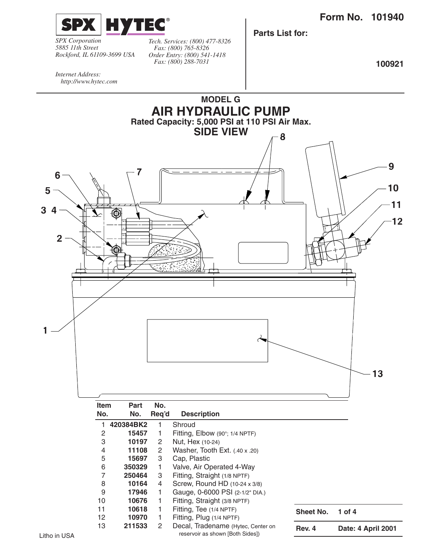

*SPX Corporation 5885 11th Street Rockford, IL 61109-3699 USA* *Tech. Services: (800) 477-8326 Fax: (800) 765-8326 Order Entry: (800) 541-1418 Fax: (800) 288-7031*

**Parts List for:**

**100921**

*Internet Address: http://www.hytec.com*

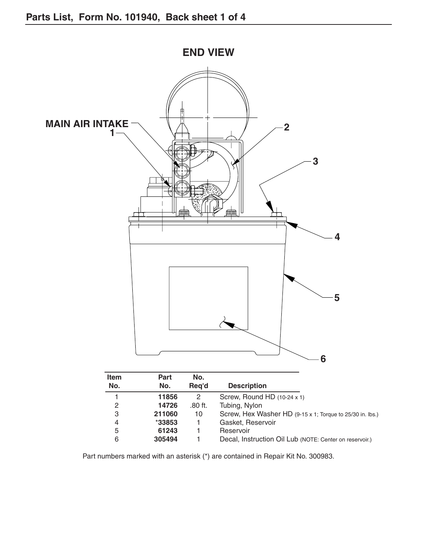

Part numbers marked with an asterisk (\*) are contained in Repair Kit No. 300983.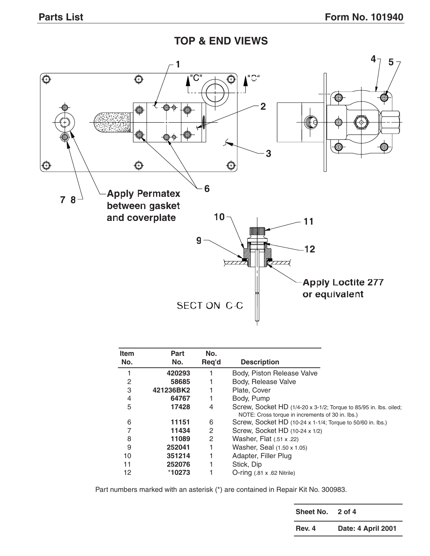**TOP & END VIEWS**



| <b>Item</b> | Part      | No.   |                                                                   |
|-------------|-----------|-------|-------------------------------------------------------------------|
| No.         | No.       | Req'd | <b>Description</b>                                                |
|             | 420293    |       | Body, Piston Release Valve                                        |
| 2           | 58685     |       | Body, Release Valve                                               |
| 3           | 421236BK2 |       | Plate, Cover                                                      |
| 4           | 64767     |       | Body, Pump                                                        |
| 5           | 17428     | 4     | Screw, Socket HD (1/4-20 x 3-1/2; Torque to 85/95 in. lbs. oiled; |
|             |           |       | NOTE: Cross torque in increments of 30 in. lbs.)                  |
| 6           | 11151     | 6     | Screw, Socket HD (10-24 x 1-1/4; Torque to 50/60 in. lbs.)        |
|             | 11434     | 2     | Screw, Socket HD (10-24 x 1/2)                                    |
| 8           | 11089     | 2     | Washer, Flat (.51 x .22)                                          |
| 9           | 252041    | 1     | Washer, Seal (1.50 x 1.05)                                        |
| 10          | 351214    | 1     | Adapter, Filler Plug                                              |
| 11          | 252076    |       | Stick, Dip                                                        |
| 12          | *10273    |       | $O$ -ring $(.81 \times .62$ Nitrile)                              |

Part numbers marked with an asterisk (\*) are contained in Repair Kit No. 300983.

| Sheet No. | 2 of 4             |
|-----------|--------------------|
| Rev. 4    | Date: 4 April 2001 |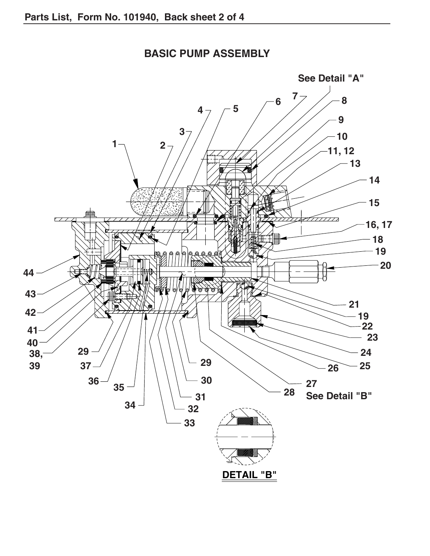

## **BASIC PUMP ASSEMBLY**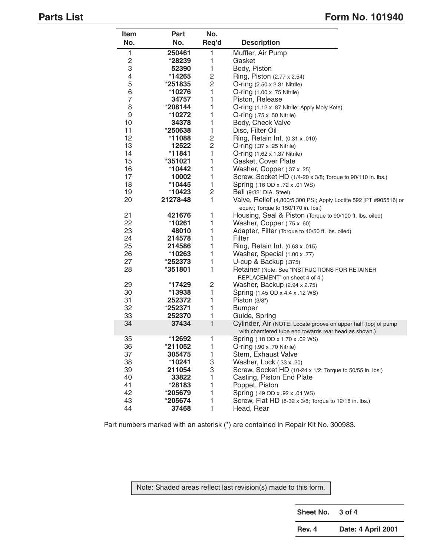# **Parts List** Form No. 101940

| Item           | Part                 | No.            |                                                                                      |
|----------------|----------------------|----------------|--------------------------------------------------------------------------------------|
| No.            | No.                  | Req'd          | <b>Description</b>                                                                   |
| 1              | 250461               | 1              | Muffler, Air Pump                                                                    |
| $\overline{c}$ | $*28239$             | 1              | Gasket                                                                               |
| 3              | 52390                | 1              | Body, Piston                                                                         |
| 4              | *14265               | 2              | Ring, Piston (2.77 x 2.54)                                                           |
| 5              | *251835              | 2              | $O$ -ring $(2.50 \times 2.31 \text{ Nitrile})$                                       |
| 6              | *10276               | 1              | O-ring (1.00 x .75 Nitrile)                                                          |
| $\overline{7}$ | 34757                | 1              | Piston, Release                                                                      |
| 8              | *208144              | 1              | O-ring (1.12 x .87 Nitrile; Apply Moly Kote)                                         |
| 9              | *10272               | 1              | $O$ -ring $(.75 \times .50 \text{ Nitrile})$                                         |
| 10             | 34378                | 1              | Body, Check Valve                                                                    |
| 11             | *250638              | 1              | Disc, Filter Oil                                                                     |
| 12             | *11088               | $\overline{c}$ | Ring, Retain Int. (0.31 x .010)                                                      |
| 13             | 12522                | 2              | $O\text{-ring}$ (.37 x .25 Nitrile)                                                  |
| 14             | *11841               | 1              | <b>O-ring</b> (1.62 x 1.37 Nitrile)                                                  |
| 15             | $*351021$            | 1              | Gasket, Cover Plate                                                                  |
| 16             | *10442               | 1              | Washer, Copper (.37 x .25)                                                           |
| 17             | 10002                | 1              | Screw, Socket HD (1/4-20 x 3/8; Torque to 90/110 in. lbs.)                           |
| 18             | $*10445$             | 1              | Spring (.16 OD x .72 x .01 WS)                                                       |
| 19             | $*10423$             | 2              | Ball (9/32" DIA. Steel)                                                              |
| 20             | 21278-48             | 1              | Valve, Relief (4,800/5,300 PSI; Apply Loctite 592 [PT #905516] or                    |
|                |                      |                | equiv.; Torque to 150/170 in. lbs.)                                                  |
| 21             | 421676               | 1              | Housing, Seal & Piston (Torque to 90/100 ft. lbs. oiled)                             |
| 22             | *10261               | 1              | Washer, Copper (.75 x .60)                                                           |
| 23             | 48010                | 1              | Adapter, Filter (Torque to 40/50 ft. lbs. oiled)                                     |
| 24             | 214578               | 1              | Filter                                                                               |
| 25             | 214586               | 1              | Ring, Retain Int. (0.63 x .015)                                                      |
| 26             | *10263               | 1              | Washer, Special (1.00 x .77)                                                         |
| 27             | *252373              | 1              | U-cup & Backup (.375)                                                                |
| 28             | *351801              | 1              | Retainer (Note: See "INSTRUCTIONS FOR RETAINER                                       |
|                |                      |                | REPLACEMENT" on sheet 4 of 4.)                                                       |
| 29             | $*17429$             | 2              | Washer, Backup (2.94 x 2.75)                                                         |
| 30             | *13938               | 1              | Spring (1.45 OD x 4.4 x .12 WS)                                                      |
| 31             | 252372               | 1              | Piston $(3/8")$                                                                      |
| 32             | $*252371$            | 1              | <b>Bumper</b>                                                                        |
| 33             | 252370               | 1              | Guide, Spring                                                                        |
| 34             | 37434                | $\mathbf{1}$   | Cylinder, Air (NOTE: Locate groove on upper half [top] of pump                       |
|                |                      |                | with chamfered tube end towards rear head as shown.)                                 |
| 35             | *12692               | 1              | Spring (.18 OD x 1.70 x .02 WS)                                                      |
| 36             | *211052              | 1              | O-ring (.90 x .70 Nitrile)                                                           |
| 37             | 305475               | 1              | Stem, Exhaust Valve                                                                  |
| 38             | *10241               | 3<br>3         | Washer, Lock (.33 x .20)<br>Screw, Socket HD (10-24 x 1/2; Torque to 50/55 in. lbs.) |
| 39<br>40       | 211054               | 1              | Casting, Piston End Plate                                                            |
| 41             | 33822<br>*28183      | 1              | Poppet, Piston                                                                       |
| 42             |                      | 1              | Spring (.49 OD x .92 x .04 WS)                                                       |
| 43             | $*205679$<br>*205674 | 1              | Screw, Flat HD (8-32 x 3/8; Torque to 12/18 in. lbs.)                                |
| 44             | 37468                | 1              | Head, Rear                                                                           |
|                |                      |                |                                                                                      |

Part numbers marked with an asterisk (\*) are contained in Repair Kit No. 300983.

Note: Shaded areas reflect last revision(s) made to this form.

**Sheet No. 3 of 4**

**Rev. 4 Date: 4 April 2001**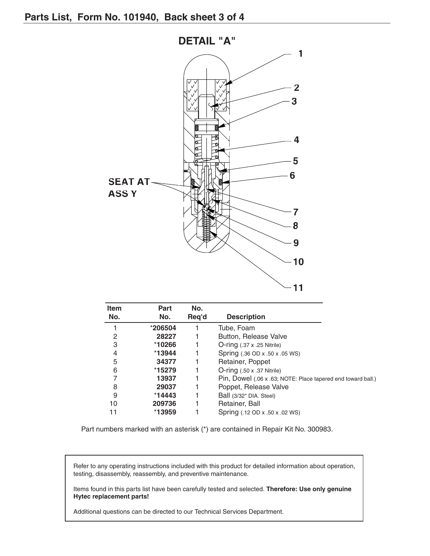

| <b>Item</b><br>No. | Part<br>No. | No.<br>Req'd | <b>Description</b>                                           |
|--------------------|-------------|--------------|--------------------------------------------------------------|
|                    | *206504     |              | Tube, Foam                                                   |
| 2                  | 28227       |              | Button, Release Valve                                        |
| 3                  | $*10266$    |              | $O$ -ring $(.37 \times .25 \text{ Nitrile})$                 |
| 4                  | $*13944$    |              | Spring (.36 OD x .50 x .05 WS)                               |
| 5                  | 34377       |              | Retainer, Poppet                                             |
| 6                  | $*15279$    |              | $O\text{-ring}$ (.50 x .37 Nitrile)                          |
|                    | 13937       |              | Pin, Dowel (.06 x .63; NOTE: Place tapered end toward ball.) |
| 8                  | 29037       |              | Poppet, Release Valve                                        |
| 9                  | $*14443$    |              | Ball (3/32" DIA. Steel)                                      |
| 10                 | 209736      |              | Retainer, Ball                                               |
| 11                 | $*13959$    |              | Spring (.12 OD x .50 x .02 WS)                               |

Part numbers marked with an asterisk (\*) are contained in Repair Kit No. 300983.

Refer to any operating instructions included with this product for detailed information about operation, testing, disassembly, reassembly, and preventive maintenance.

Items found in this parts list have been carefully tested and selected. **Therefore: Use only genuine Hytec replacement parts!**

Additional questions can be directed to our Technical Services Department.